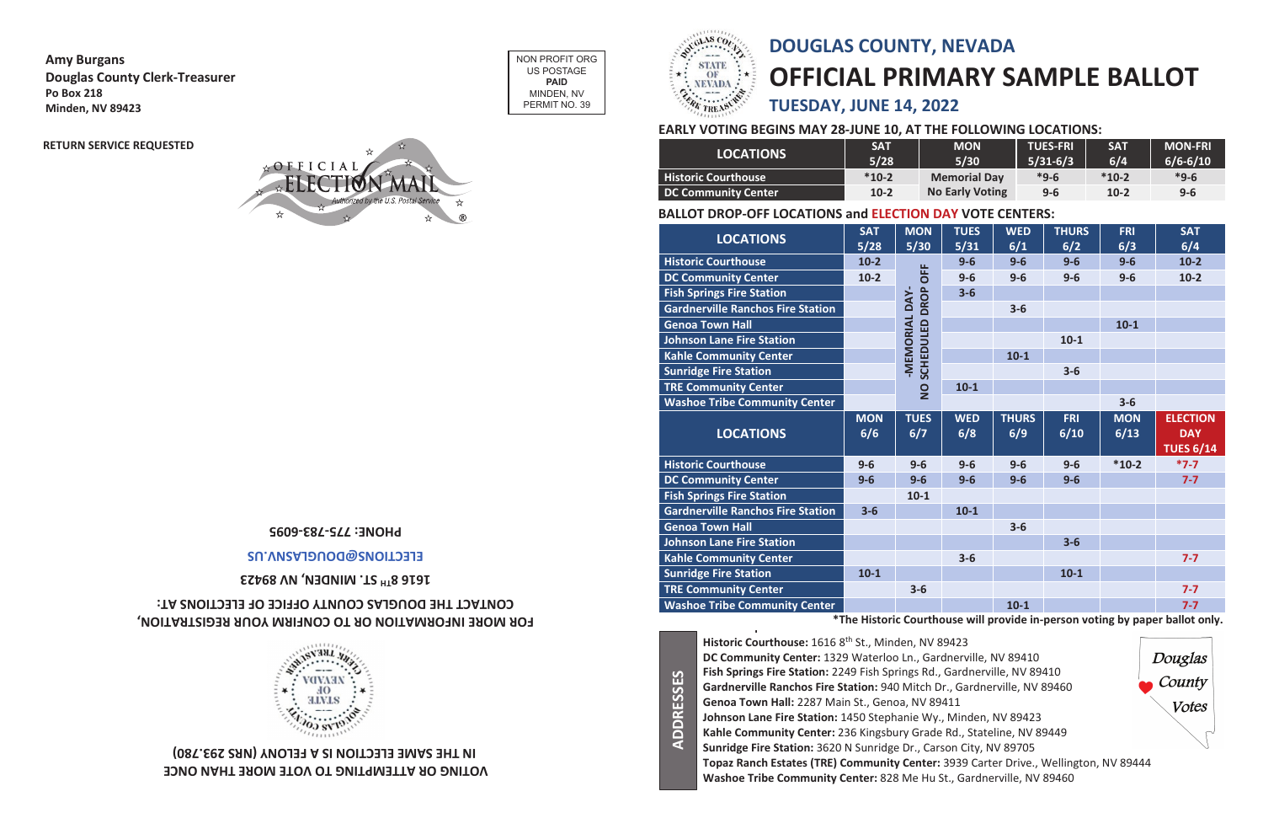| <b>LOCATIONS</b>                         | <b>SAT</b><br>5/28 | <b>MON</b><br>$5/30$ | <b>TUES</b><br>5/31 | <b>WED</b><br>6/1   | <b>THURS</b><br>6/2 | <b>FRI</b><br>6/3  | <b>SAT</b><br>6/4                                 |
|------------------------------------------|--------------------|----------------------|---------------------|---------------------|---------------------|--------------------|---------------------------------------------------|
| <b>Historic Courthouse</b>               | $10-2$             |                      | $9-6$               | $9-6$               | $9-6$               | $9-6$              | $10-2$                                            |
| <b>DC Community Center</b>               | $10-2$             | <b>OFF</b>           | $9-6$               | $9-6$               | $9-6$               | $9-6$              | $10-2$                                            |
| <b>Fish Springs Fire Station</b>         |                    | <b>DROP</b>          | $3-6$               |                     |                     |                    |                                                   |
| <b>Gardnerville Ranchos Fire Station</b> |                    | -MEMORIAL DAY-       |                     | $3-6$               |                     |                    |                                                   |
| <b>Genoa Town Hall</b>                   |                    |                      |                     |                     |                     | $10-1$             |                                                   |
| <b>Johnson Lane Fire Station</b>         |                    | SCHEDULED            |                     |                     | $10-1$              |                    |                                                   |
| <b>Kahle Community Center</b>            |                    |                      |                     | $10-1$              |                     |                    |                                                   |
| <b>Sunridge Fire Station</b>             |                    |                      |                     |                     | $3-6$               |                    |                                                   |
| <b>TRE Community Center</b>              |                    | $\overline{2}$       | $10-1$              |                     |                     |                    |                                                   |
| <b>Washoe Tribe Community Center</b>     |                    |                      |                     |                     |                     | $3-6$              |                                                   |
|                                          |                    |                      |                     |                     |                     |                    |                                                   |
| <b>LOCATIONS</b>                         | <b>MON</b><br>6/6  | <b>TUES</b><br>6/7   | <b>WED</b><br>6/8   | <b>THURS</b><br>6/9 | <b>FRI</b><br>6/10  | <b>MON</b><br>6/13 | <b>ELECTION</b><br><b>DAY</b><br><b>TUES 6/14</b> |
| <b>Historic Courthouse</b>               | $9-6$              | $9-6$                | $9-6$               | $9-6$               | $9-6$               | $*10-2$            | $*7-7$                                            |
| <b>DC Community Center</b>               | $9-6$              | $9-6$                | $9-6$               | $9-6$               | $9-6$               |                    | $7 - 7$                                           |
| <b>Fish Springs Fire Station</b>         |                    | $10-1$               |                     |                     |                     |                    |                                                   |
| <b>Gardnerville Ranchos Fire Station</b> | $3 - 6$            |                      | $10-1$              |                     |                     |                    |                                                   |
| <b>Genoa Town Hall</b>                   |                    |                      |                     | $3-6$               |                     |                    |                                                   |
| <b>Johnson Lane Fire Station</b>         |                    |                      |                     |                     | $3 - 6$             |                    |                                                   |
| <b>Kahle Community Center</b>            |                    |                      | $3-6$               |                     |                     |                    | $7 - 7$                                           |
| <b>Sunridge Fire Station</b>             | $10-1$             |                      |                     |                     | $10 - 1$            |                    |                                                   |
| <b>TRE Community Center</b>              |                    | $3-6$                |                     |                     |                     |                    | $7 - 7$                                           |

#### FOR MORE INFORMATION OR TO CONFIRM YOUR REGISTRATION, **: AT ECTIONS EL FICE OF OF OUNTY C THE DOUGLAS CONTACT**



**Amy Burgans Douglas County Clerk-Treasurer Po Box 218 Minden, NV 89423**

> **VOTING OR ATTEMPTING TO VOTE MORE THAN ONCE IN THE SAME ELECTION IS A FELONY (NRS 293.780)**

- 
- 
- 
- 
- 
- 
- 
- 



### **1616 8TH 89423 V N INDEN, M ST.**

# **DOUGLAS COUNTY, NEVADA OFFICIAL PRIMARY SAMPLE BALLOT TUESDAY, JUNE 14, 2022**

### **EARLY VOTING BEGINS MAY 28-JUNE 10, AT THE FOLLOWING LOCATIONS:**

|                            | <b>SAT</b> | <b>MON</b>             | <b>TUES-FRI</b> | <b>SAT</b> | <b>MON-FRI</b> |
|----------------------------|------------|------------------------|-----------------|------------|----------------|
| <b>LOCATIONS</b>           | 5/28       | 5/30                   | $5/31-6/3$      | 6/4        | $6/6 - 6/10$   |
| <b>Historic Courthouse</b> | $*10-2$    | <b>Memorial Day</b>    | $*9-6$          | $*10-2$    | $*9-6$         |
| DC Community Center        | $10-2$     | <b>No Early Voting</b> | $9 - 6$         | $10-2$     | $9 - 6$        |

**Historic Courthouse:** 1616 8th St., Minden, NV 89423 **l DC Community Center:** 1329 Waterloo Ln., Gardnerville, NV 89410 **Fish Springs Fire Station:** 2249 Fish Springs Rd., Gardnerville, NV 89410 **Gardnerville Ranchos Fire Station:** 940 Mitch Dr., Gardnerville, NV 89460 **Genoa Town Hall:** 2287 Main St., Genoa, NV 89411 **Johnson Lane Fire Station:** 1450 Stephanie Wy., Minden, NV 89423 **Kahle Community Center:** 236 Kingsbury Grade Rd., Stateline, NV 89449 **Sunridge Fire Station:** 3620 N Sunridge Dr., Carson City, NV 89705 **Topaz Ranch Estates (TRE) Community Center:** 3939 Carter Drive., Wellington, NV 89444 **Washoe Tribe Community Center:** 828 Me Hu St., Gardnerville, NV 89460

**ADDRESSES**

**ADDRESSES** 

#### **5609-882-9243-0082**

#### ELECTIONS@DOUGLASN.US

### **BALLOT DROP-OFF LOCATIONS and ELECTION DAY VOTE CENTERS:**

**\*The Historic Courthouse will provide in-person voting by paper ballot only.**

NON PROFIT ORG US POSTAGE **PAID** MINDEN, NV PERMIT NO. 39



**RETURN SERVICE REQUESTED**